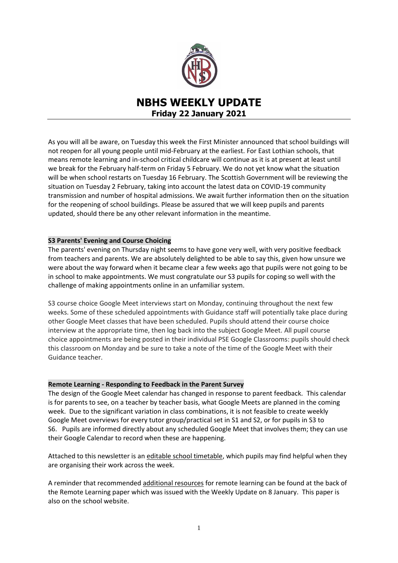

# **NBHS WEEKLY UPDATE Friday 22 January 2021**

As you will all be aware, on Tuesday this week the First Minister announced that school buildings will not reopen for all young people until mid-February at the earliest. For East Lothian schools, that means remote learning and in-school critical childcare will continue as it is at present at least until we break for the February half-term on Friday 5 February. We do not yet know what the situation will be when school restarts on Tuesday 16 February. The Scottish Government will be reviewing the situation on Tuesday 2 February, taking into account the latest data on COVID-19 community transmission and number of hospital admissions. We await further information then on the situation for the reopening of school buildings. Please be assured that we will keep pupils and parents updated, should there be any other relevant information in the meantime.

## **S3 Parents' Evening and Course Choicing**

The parents' evening on Thursday night seems to have gone very well, with very positive feedback from teachers and parents. We are absolutely delighted to be able to say this, given how unsure we were about the way forward when it became clear a few weeks ago that pupils were not going to be in school to make appointments. We must congratulate our S3 pupils for coping so well with the challenge of making appointments online in an unfamiliar system.

S3 course choice Google Meet interviews start on Monday, continuing throughout the next few weeks. Some of these scheduled appointments with Guidance staff will potentially take place during other Google Meet classes that have been scheduled. Pupils should attend their course choice interview at the appropriate time, then log back into the subject Google Meet. All pupil course choice appointments are being posted in their individual PSE Google Classrooms: pupils should check this classroom on Monday and be sure to take a note of the time of the Google Meet with their Guidance teacher.

### **Remote Learning - Responding to Feedback in the Parent Survey**

The design of the Google Meet calendar has changed in response to parent feedback. This calendar is for parents to see, on a teacher by teacher basis, what Google Meets are planned in the coming week. Due to the significant variation in class combinations, it is not feasible to create weekly Google Meet overviews for every tutor group/practical set in S1 and S2, or for pupils in S3 to S6. Pupils are informed directly about any scheduled Google Meet that involves them; they can use their Google Calendar to record when these are happening.

Attached to this newsletter is an editable school timetable, which pupils may find helpful when they are organising their work across the week.

A reminder that recommended additional resources for remote learning can be found at the back of the Remote Learning paper which was issued with the Weekly Update on 8 January. This paper is also on the school website.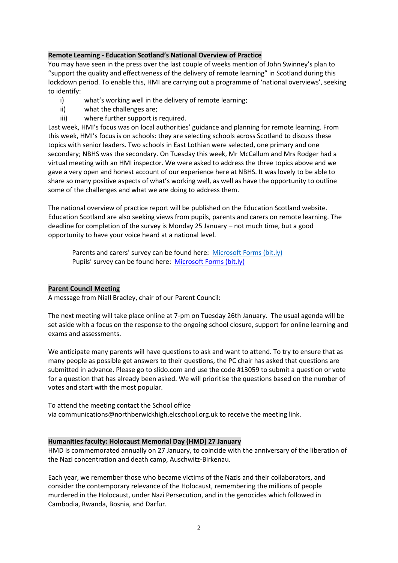## **Remote Learning - Education Scotland's National Overview of Practice**

You may have seen in the press over the last couple of weeks mention of John Swinney's plan to "support the quality and effectiveness of the delivery of remote learning" in Scotland during this lockdown period. To enable this, HMI are carrying out a programme of 'national overviews', seeking to identify:

- i) what's working well in the delivery of remote learning;
- ii) what the challenges are;
- iii) where further support is required.

Last week, HMI's focus was on local authorities' guidance and planning for remote learning. From this week, HMI's focus is on schools: they are selecting schools across Scotland to discuss these topics with senior leaders. Two schools in East Lothian were selected, one primary and one secondary; NBHS was the secondary. On Tuesday this week, Mr McCallum and Mrs Rodger had a virtual meeting with an HMI inspector. We were asked to address the three topics above and we gave a very open and honest account of our experience here at NBHS. It was lovely to be able to share so many positive aspects of what's working well, as well as have the opportunity to outline some of the challenges and what we are doing to address them.

The national overview of practice report will be published on the Education Scotland website. Education Scotland are also seeking views from pupils, parents and carers on remote learning. The deadline for completion of the survey is Monday 25 January – not much time, but a good opportunity to have your voice heard at a national level.

Parents and carers' survey can be found here: [Microsoft Forms \(bit.ly\)](http://bit.ly/NationalOverview-Parents-Carers) Pupils' survey can be found here: [Microsoft Forms \(bit.ly\)](http://bit.ly/NationalOverview-Children-YoungPeople)

### **Parent Council Meeting**

A message from Niall Bradley, chair of our Parent Council:

The next meeting will take place online at 7-pm on Tuesday 26th January. The usual agenda will be set aside with a focus on the response to the ongoing school closure, support for online learning and exams and assessments.

We anticipate many parents will have questions to ask and want to attend. To try to ensure that as many people as possible get answers to their questions, the PC chair has asked that questions are submitted in advance. Please go to slido.com and use the code #13059 to submit a question or vote for a question that has already been asked. We will prioritise the questions based on the number of votes and start with the most popular.

To attend the meeting contact the School office via [communications@northberwickhigh.elcschool.org.uk](mailto:communications@northberwickhigh.elcschool.org.uk) to receive the meeting link.

### **Humanities faculty: Holocaust Memorial Day (HMD) 27 January**

HMD is commemorated annually on 27 January, to coincide with the anniversary of the liberation of the Nazi concentration and death camp, Auschwitz-Birkenau.

Each year, we remember those who became victims of the Nazis and their collaborators, and consider the contemporary relevance of the Holocaust, remembering the millions of people murdered in the Holocaust, under Nazi Persecution, and in the genocides which followed in Cambodia, Rwanda, Bosnia, and Darfur.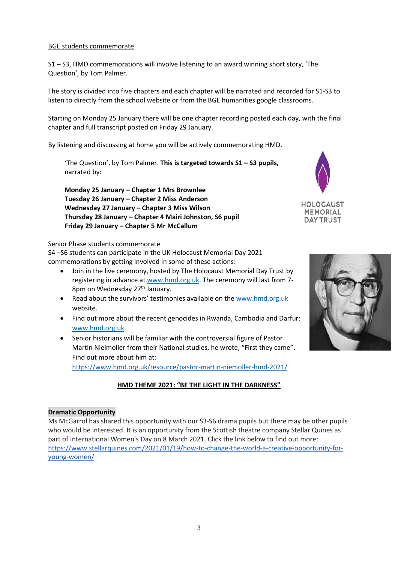### BGE students commemorate

S1 – S3, HMD commemorations will involve listening to an award winning short story, 'The Question', by Tom Palmer.

The story is divided into five chapters and each chapter will be narrated and recorded for S1-S3 to listen to directly from the school website or from the BGE humanities google classrooms.

Starting on Monday 25 January there will be one chapter recording posted each day, with the final chapter and full transcript posted on Friday 29 January.

By listening and discussing at home you will be actively commemorating HMD.

'The Question', by Tom Palmer. **This is targeted towards S1 – S3 pupils,** narrated by:

**Monday 25 January – Chapter 1 Mrs Brownlee Tuesday 26 January – Chapter 2 Miss Anderson Wednesday 27 January – Chapter 3 Miss Wilson Thursday 28 January – Chapter 4 Mairi Johnston, S6 pupil Friday 29 January – Chapter 5 Mr McCallum**

### Senior Phase students commemorate

S4 –S6 students can participate in the UK Holocaust Memorial Day 2021 commemorations by getting involved in some of these actions:

- Join in the live ceremony, hosted by The Holocaust Memorial Day Trust by registering in advance at [www.hmd.org.uk.](http://www.hmd.org.uk/) The ceremony will last from 7- 8pm on Wednesday 27<sup>th</sup> January.
- Read about the survivors' testimonies available on the [www.hmd.org.uk](http://www.hmd.org.uk/) website.
- Find out more about the recent genocides in Rwanda, Cambodia and Darfur: [www.hmd.org.uk](http://www.hmd.org.uk/)
- Senior historians will be familiar with the controversial figure of Pastor Martin Nielmoller from their National studies, he wrote, "First they came". Find out more about him at:

<https://www.hmd.org.uk/resource/pastor-martin-niemoller-hmd-2021/>

# **HMD THEME 2021: "BE THE LIGHT IN THE DARKNESS"**

# **Dramatic Opportunity**

Ms McGarrol has shared this opportunity with our S3-S6 drama pupils but there may be other pupils who would be interested. It is an opportunity from the Scottish theatre company Stellar Quines as part of International Women's Day on 8 March 2021. Click the link below to find out more: [https://www.stellarquines.com/2021/01/19/how-to-change-the-world-a-creative-opportunity-for](https://www.stellarquines.com/2021/01/19/how-to-change-the-world-a-creative-opportunity-for-young-women/)[young-women/](https://www.stellarquines.com/2021/01/19/how-to-change-the-world-a-creative-opportunity-for-young-women/)





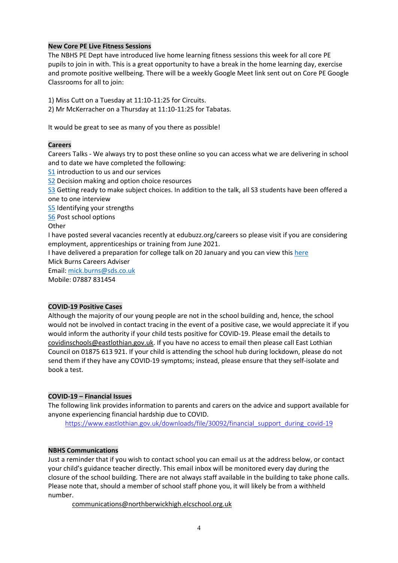## **New Core PE Live Fitness Sessions**

The NBHS PE Dept have introduced live home learning fitness sessions this week for all core PE pupils to join in with. This is a great opportunity to have a break in the home learning day, exercise and promote positive wellbeing. There will be a weekly Google Meet link sent out on Core PE Google Classrooms for all to join:

1) Miss Cutt on a Tuesday at 11:10-11:25 for Circuits.

2) Mr McKerracher on a Thursday at 11:10-11:25 for Tabatas.

It would be great to see as many of you there as possible!

## **Careers**

Careers Talks - We always try to post these online so you can access what we are delivering in school and to date we have completed the following:

[S1](https://www.edubuzz.org/careers/2020/08/17/s1-2020/) introduction to us and our services

**[S2](https://www.edubuzz.org/careers/2021/01/18/s2-careers-talk-january-2021/)** Decision making and option choice resources

[S3](https://www.edubuzz.org/careers/2020/06/03/s3-june-2020/) Getting ready to make subject choices. In addition to the talk, all S3 students have been offered a one to one interview

**[S5](https://www.edubuzz.org/careers/2020/07/28/s5-careers-talk-2020/)** Identifying your strengths

[S6](https://www.edubuzz.org/careers/2020/05/26/nbhs-s6-careers-talk-june-2020/) Post school options

**Other** 

I have posted several vacancies recently at edubuzz.org/careers so please visit if you are considering employment, apprenticeships or training from June 2021.

I have delivered a preparation for college talk on 20 January and you can view thi[s here](https://www.edubuzz.org/careers/2017/12/06/applying-for-college-2018/) Mick Burns Careers Adviser

Email: [mick.burns@sds.co.uk](https://mail.elcschool.org.uk/owa/redir.aspx?C=fbGa3DGVrsUoQB2CnJP23eXwMGzxu7J1CtarT6dTOwkq_NlpJujXCA..&URL=mailto%3amick.burns%40sds.co.uk) Mobile: 07887 831454

### **COVID-19 Positive Cases**

Although the majority of our young people are not in the school building and, hence, the school would not be involved in contact tracing in the event of a positive case, we would appreciate it if you would inform the authority if your child tests positive for COVID-19. Please email the details to [covidinschools@eastlothian.gov.uk.](mailto:covidinschools@eastlothian.gov.uk) If you have no access to email then please call East Lothian Council on 01875 613 921. If your child is attending the school hub during lockdown, please do not send them if they have any COVID-19 symptoms; instead, please ensure that they self-isolate and book a test.

# **COVID-19 – Financial Issues**

The following link provides information to parents and carers on the advice and support available for anyone experiencing financial hardship due to COVID.

[https://www.eastlothian.gov.uk/downloads/file/30092/financial\\_support\\_during\\_covid-19](https://www.eastlothian.gov.uk/downloads/file/30092/financial_support_during_covid-19)

# **NBHS Communications**

Just a reminder that if you wish to contact school you can email us at the address below, or contact your child's guidance teacher directly. This email inbox will be monitored every day during the closure of the school building. There are not always staff available in the building to take phone calls. Please note that, should a member of school staff phone you, it will likely be from a withheld number.

[communications@northberwickhigh.elcschool.org.uk](mailto:communications@northberwickhigh.elcschool.org.uk)